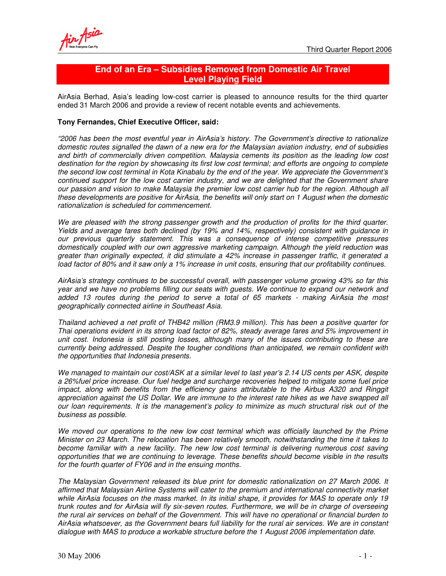# **End of an Era – Subsidies Removed from Domestic Air Travel Level Playing Field**

AirAsia Berhad, Asia's leading low-cost carrier is pleased to announce results for the third quarter ended 31 March 2006 and provide a review of recent notable events and achievements.

## **Tony Fernandes, Chief Executive Officer, said:**

*"2006 has been the most eventful year in AirAsia's history. The Government's directive to rationalize domestic routes signalled the dawn of a new era for the Malaysian aviation industry, end of subsidies and birth of commercially driven competition. Malaysia cements its position as the leading low cost destination for the region by showcasing its first low cost terminal; and efforts are ongoing to complete* the second low cost terminal in Kota Kinabalu by the end of the year. We appreciate the Government's *continued support for the low cost carrier industry, and we are delighted that the Government share* our passion and vision to make Malaysia the premier low cost carrier hub for the region. Although all *these developments are positive for AirAsia, the benefits will only start on 1 August when the domestic rationalization is scheduled for commencement.*

*We are pleased with the strong passenger growth and the production of profits for the third quarter. Yields and average fares both declined (by 19% and 14%, respectively) consistent with guidance in our previous quarterly statement. This was a consequence of intense competitive pressures domestically coupled with our own aggressive marketing campaign. Although the yield reduction was greater than originally expected, it did stimulate a 42% increase in passenger traffic, it generated a* load factor of 80% and it saw only a 1% increase in unit costs, ensuring that our profitability continues.

*AirAsia's strategy continues to be successful overall, with passenger volume growing 43% so far this year and we have no problems filling our seats with guests. We continue to expand our network and added 13 routes during the period to serve a total of 65 markets - making AirAsia the most geographically connected airline in Southeast Asia.*

*Thailand achieved a net profit of THB42 million (RM3.9 million). This has been a positive quarter for Thai operations evident in its strong load factor of 82%, steady average fares and 5% improvement in unit cost. Indonesia is still posting losses, although many of the issues contributing to these are currently being addressed. Despite the tougher conditions than anticipated, we remain confident with the opportunities that Indonesia presents.*

We managed to maintain our cost/ASK at a similar level to last year's 2.14 US cents per ASK, despite *a 26%fuel price increase. Our fuel hedge and surcharge recoveries helped to mitigate some fuel price impact, along with benefits from the efficiency gains attributable to the Airbus A320 and Ringgit* appreciation against the US Dollar. We are immune to the interest rate hikes as we have swapped all *our loan requirements. It is the management's policy to minimize as much structural risk out of the business as possible.*

*We moved our operations to the new low cost terminal which was officially launched by the Prime Minister on 23 March. The relocation has been relatively smooth, notwithstanding the time it takes to become familiar with a new facility. The new low cost terminal is delivering numerous cost saving opportunities that we are continuing to leverage. These benefits should become visible in the results for the fourth quarter of FY06 and in the ensuing months.*

*The Malaysian Government released its blue print for domestic rationalization on 27 March 2006. It affirmed that Malaysian Airline Systems will cater to the premium and international connectivity market* while AirAsia focuses on the mass market. In its initial shape, it provides for MAS to operate only 19 *trunk routes and for AirAsia will fly six-seven routes. Furthermore, we will be in charge of overseeing* the rural air services on behalf of the Government. This will have no operational or financial burden to *AirAsia whatsoever, as the Government bears full liability for the rural air services. We are in constant dialogue with MAS to produce a workable structure before the 1 August 2006 implementation date.*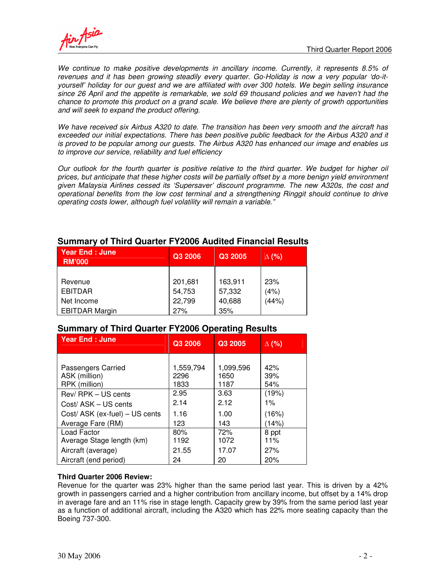

*We continue to make positive developments in ancillary income. Currently, it represents 8.5% of revenues and it has been growing steadily every quarter. Go-Holiday is now a very popular 'do-ityourself' holiday for our guest and we are affiliated with over 300 hotels. We begin selling insurance since 26 April and the appetite is remarkable, we sold 69 thousand policies and we haven't had the chance to promote this product on a grand scale. We believe there are plenty of growth opportunities and will seek to expand the product offering.*

*We have received six Airbus A320 to date. The transition has been very smooth and the aircraft has exceeded our initial expectations. There has been positive public feedback for the Airbus A320 and it is proved to be popular among our guests. The Airbus A320 has enhanced our image and enables us to improve our service, reliability and fuel efficiency*

Our outlook for the fourth quarter is positive relative to the third quarter. We budget for higher oil prices, but anticipate that these higher costs will be partially offset by a more benign yield environment *given Malaysia Airlines cessed its 'Supersaver' discount programme. The new A320s, the cost and operational benefits from the low cost terminal and a strengthening Ringgit should continue to drive operating costs lower, although fuel volatility will remain a variable."*

| <b>Year End: June</b><br><b>RM'000</b> | Q3 2006 | Q3 2005 | $\Delta$ (%) |
|----------------------------------------|---------|---------|--------------|
|                                        |         |         |              |
| Revenue                                | 201,681 | 163,911 | 23%          |
| <b>EBITDAR</b>                         | 54,753  | 57,332  | (4%)         |
| Net Income                             | 22,799  | 40,688  | (44%)        |
| <b>EBITDAR Margin</b>                  | 27%     | 35%     |              |

# **Summary of Third Quarter FY2006 Audited Financial Results**

## **Summary of Third Quarter FY2006 Operating Results**

| <b>Year End: June</b>          | Q3 2006   | Q3 2005   | $\Delta$ (%) |
|--------------------------------|-----------|-----------|--------------|
| Passengers Carried             | 1,559,794 | 1,099,596 | 42%          |
| ASK (million)                  | 2296      | 1650      | 39%          |
| RPK (million)                  | 1833      | 1187      | 54%          |
| Rev/RPK - US cents             | 2.95      | 3.63      | (19%)        |
| Cost/ASK - US cents            | 2.14      | 2.12      | $1\%$        |
| Cost/ ASK (ex-fuel) - US cents | 1.16      | 1.00      | (16%)        |
| Average Fare (RM)              | 123       | 143       | (14%)        |
| Load Factor                    | 80%       | 72%       | 8 ppt        |
| Average Stage length (km)      | 1192      | 1072      | 11%          |
| Aircraft (average)             | 21.55     | 17.07     | 27%          |
| Aircraft (end period)          | 24        | 20        | 20%          |

## **Third Quarter 2006 Review:**

Revenue for the quarter was 23% higher than the same period last year. This is driven by a 42% growth in passengers carried and a higher contribution from ancillary income, but offset by a 14% drop in average fare and an 11% rise in stage length. Capacity grew by 39% from the same period last year as a function of additional aircraft, including the A320 which has 22% more seating capacity than the Boeing 737-300.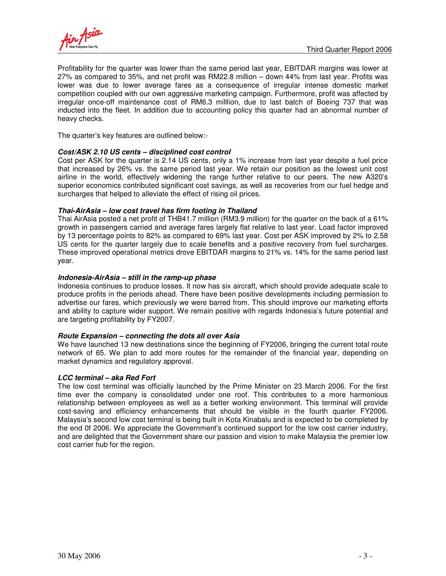

Profitability for the quarter was lower than the same period last year, EBITDAR margins was lower at 27% as compared to 35%, and net profit was RM22.8 million – down 44% from last year. Profits was lower was due to lower average fares as a consequence of irregular intense domestic market competition coupled with our own aggressive marketing campaign. Furthermore, profit was affected by irregular once-off maintenance cost of RM6.3 milllion, due to last batch of Boeing 737 that was inducted into the fleet. In addition due to accounting policy this quarter had an abnormal number of heavy checks.

The quarter's key features are outlined below:-

### *Cost/ASK 2.10 US cents – disciplined cost control*

Cost per ASK for the quarter is 2.14 US cents, only a 1% increase from last year despite a fuel price that increased by 26% vs. the same period last year. We retain our position as the lowest unit cost airline in the world, effectively widening the range further relative to our peers. The new A320's superior economics contributed significant cost savings, as well as recoveries from our fuel hedge and surcharges that helped to alleviate the effect of rising oil prices.

#### *Thai-AirAsia – low cost travel has firm footing in Thailand*

Thai AirAsia posted a net profit of THB41.7 million (RM3.9 million) for the quarter on the back of a 61% growth in passengers carried and average fares largely flat relative to last year. Load factor improved by 13 percentage points to 82% as compared to 69% last year. Cost per ASK improved by 2% to 2.58 US cents for the quarter largely due to scale benefits and a positive recovery from fuel surcharges. These improved operational metrics drove EBITDAR margins to 21% vs. 14% for the same period last year.

#### *Indonesia-AirAsia – still in the ramp-up phase*

Indonesia continues to produce losses. It now has six aircraft, which should provide adequate scale to produce profits in the periods ahead. There have been positive developments including permission to advertise our fares, which previously we were barred from. This should improve our marketing efforts and ability to capture wider support. We remain positive with regards Indonesia's future potential and are targeting profitability by FY2007.

#### *Route Expansion – connecting the dots all over Asia*

We have launched 13 new destinations since the beginning of FY2006, bringing the current total route network of 65. We plan to add more routes for the remainder of the financial year, depending on market dynamics and regulatory approval.

### *LCC terminal – aka Red Fort*

The low cost terminal was officially launched by the Prime Minister on 23 March 2006. For the first time ever the company is consolidated under one roof. This contributes to a more harmonious relationship between employees as well as a better working environment. This terminal will provide cost-saving and efficiency enhancements that should be visible in the fourth quarter FY2006. Malaysia's second low cost terminal is being built in Kota Kinabalu and is expected to be completed by the end 0f 2006. We appreciate the Government's continued support for the low cost carrier industry, and are delighted that the Government share our passion and vision to make Malaysia the premier low cost carrier hub for the region.